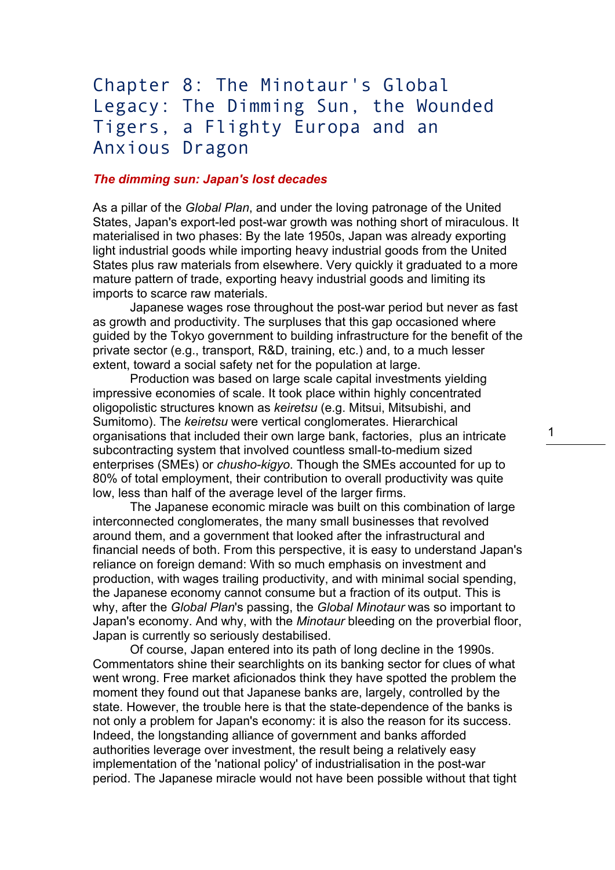# Chapter 8: The Minotaur's Global Legacy: The Dimming Sun, the Wounded Tigers, a Flighty Europa and an Anxious Dragon

## *The dimming sun: Japan's lost decades*

As a pillar of the *Global Plan*, and under the loving patronage of the United States, Japan's export-led post-war growth was nothing short of miraculous. It materialised in two phases: By the late 1950s, Japan was already exporting light industrial goods while importing heavy industrial goods from the United States plus raw materials from elsewhere. Very quickly it graduated to a more mature pattern of trade, exporting heavy industrial goods and limiting its imports to scarce raw materials.

Japanese wages rose throughout the post-war period but never as fast as growth and productivity. The surpluses that this gap occasioned where guided by the Tokyo government to building infrastructure for the benefit of the private sector (e.g., transport, R&D, training, etc.) and, to a much lesser extent, toward a social safety net for the population at large.

Production was based on large scale capital investments yielding impressive economies of scale. It took place within highly concentrated oligopolistic structures known as *keiretsu* (e.g. Mitsui, Mitsubishi, and Sumitomo). The *keiretsu* were vertical conglomerates. Hierarchical organisations that included their own large bank, factories, plus an intricate subcontracting system that involved countless small-to-medium sized enterprises (SMEs) or *chusho-kigyo*. Though the SMEs accounted for up to 80% of total employment, their contribution to overall productivity was quite low, less than half of the average level of the larger firms.

The Japanese economic miracle was built on this combination of large interconnected conglomerates, the many small businesses that revolved around them, and a government that looked after the infrastructural and financial needs of both. From this perspective, it is easy to understand Japan's reliance on foreign demand: With so much emphasis on investment and production, with wages trailing productivity, and with minimal social spending, the Japanese economy cannot consume but a fraction of its output. This is why, after the *Global Plan*'s passing, the *Global Minotaur* was so important to Japan's economy. And why, with the *Minotaur* bleeding on the proverbial floor, Japan is currently so seriously destabilised.

Of course, Japan entered into its path of long decline in the 1990s. Commentators shine their searchlights on its banking sector for clues of what went wrong. Free market aficionados think they have spotted the problem the moment they found out that Japanese banks are, largely, controlled by the state. However, the trouble here is that the state-dependence of the banks is not only a problem for Japan's economy: it is also the reason for its success. Indeed, the longstanding alliance of government and banks afforded authorities leverage over investment, the result being a relatively easy implementation of the 'national policy' of industrialisation in the post-war period. The Japanese miracle would not have been possible without that tight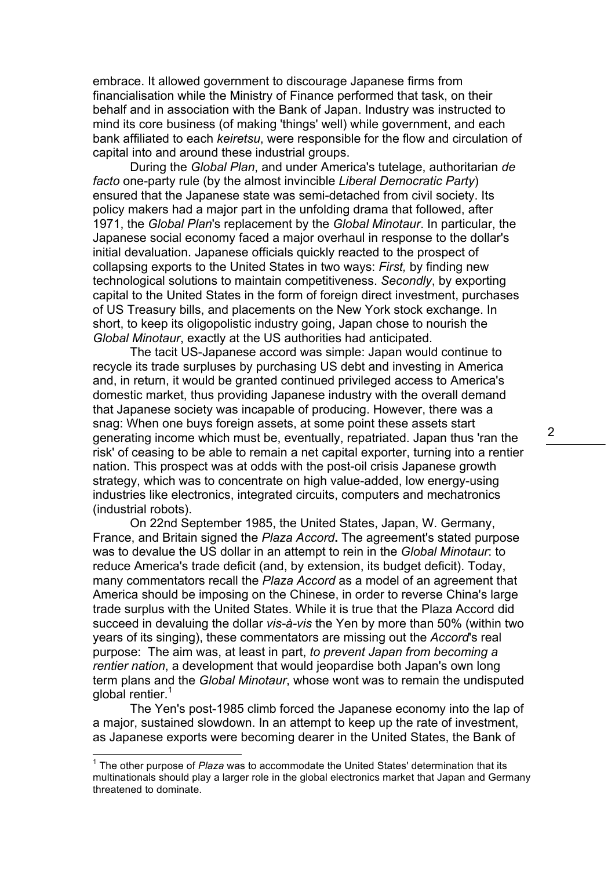embrace. It allowed government to discourage Japanese firms from financialisation while the Ministry of Finance performed that task, on their behalf and in association with the Bank of Japan. Industry was instructed to mind its core business (of making 'things' well) while government, and each bank affiliated to each *keiretsu*, were responsible for the flow and circulation of capital into and around these industrial groups.

During the *Global Plan*, and under America's tutelage, authoritarian *de facto* one-party rule (by the almost invincible *Liberal Democratic Party*) ensured that the Japanese state was semi-detached from civil society. Its policy makers had a major part in the unfolding drama that followed, after 1971, the *Global Plan*'s replacement by the *Global Minotaur*. In particular, the Japanese social economy faced a major overhaul in response to the dollar's initial devaluation. Japanese officials quickly reacted to the prospect of collapsing exports to the United States in two ways: *First,* by finding new technological solutions to maintain competitiveness. *Secondly*, by exporting capital to the United States in the form of foreign direct investment, purchases of US Treasury bills, and placements on the New York stock exchange. In short, to keep its oligopolistic industry going, Japan chose to nourish the *Global Minotaur*, exactly at the US authorities had anticipated.

The tacit US-Japanese accord was simple: Japan would continue to recycle its trade surpluses by purchasing US debt and investing in America and, in return, it would be granted continued privileged access to America's domestic market, thus providing Japanese industry with the overall demand that Japanese society was incapable of producing. However, there was a snag: When one buys foreign assets, at some point these assets start generating income which must be, eventually, repatriated. Japan thus 'ran the risk' of ceasing to be able to remain a net capital exporter, turning into a rentier nation. This prospect was at odds with the post-oil crisis Japanese growth strategy, which was to concentrate on high value-added, low energy-using industries like electronics, integrated circuits, computers and mechatronics (industrial robots).

On 22nd September 1985, the United States, Japan, W. Germany, France, and Britain signed the *Plaza Accord***.** The agreement's stated purpose was to devalue the US dollar in an attempt to rein in the *Global Minotaur*: to reduce America's trade deficit (and, by extension, its budget deficit). Today, many commentators recall the *Plaza Accord* as a model of an agreement that America should be imposing on the Chinese, in order to reverse China's large trade surplus with the United States. While it is true that the Plaza Accord did succeed in devaluing the dollar *vis-à-vis* the Yen by more than 50% (within two years of its singing), these commentators are missing out the *Accord*'s real purpose: The aim was, at least in part, *to prevent Japan from becoming a rentier nation*, a development that would jeopardise both Japan's own long term plans and the *Global Minotaur*, whose wont was to remain the undisputed global rentier.<sup>1</sup>

The Yen's post-1985 climb forced the Japanese economy into the lap of a major, sustained slowdown. In an attempt to keep up the rate of investment, as Japanese exports were becoming dearer in the United States, the Bank of

 <sup>1</sup> The other purpose of *Plaza* was to accommodate the United States' determination that its multinationals should play a larger role in the global electronics market that Japan and Germany threatened to dominate.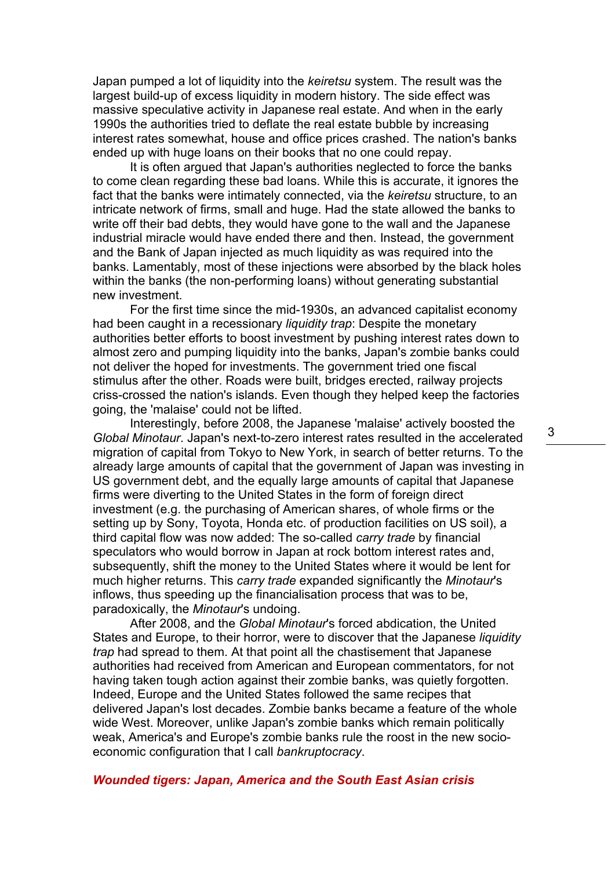Japan pumped a lot of liquidity into the *keiretsu* system. The result was the largest build-up of excess liquidity in modern history. The side effect was massive speculative activity in Japanese real estate. And when in the early 1990s the authorities tried to deflate the real estate bubble by increasing interest rates somewhat, house and office prices crashed. The nation's banks ended up with huge loans on their books that no one could repay.

It is often argued that Japan's authorities neglected to force the banks to come clean regarding these bad loans. While this is accurate, it ignores the fact that the banks were intimately connected, via the *keiretsu* structure, to an intricate network of firms, small and huge. Had the state allowed the banks to write off their bad debts, they would have gone to the wall and the Japanese industrial miracle would have ended there and then. Instead, the government and the Bank of Japan injected as much liquidity as was required into the banks. Lamentably, most of these injections were absorbed by the black holes within the banks (the non-performing loans) without generating substantial new investment.

For the first time since the mid-1930s, an advanced capitalist economy had been caught in a recessionary *liquidity trap*: Despite the monetary authorities better efforts to boost investment by pushing interest rates down to almost zero and pumping liquidity into the banks, Japan's zombie banks could not deliver the hoped for investments. The government tried one fiscal stimulus after the other. Roads were built, bridges erected, railway projects criss-crossed the nation's islands. Even though they helped keep the factories going, the 'malaise' could not be lifted.

Interestingly, before 2008, the Japanese 'malaise' actively boosted the *Global Minotaur*. Japan's next-to-zero interest rates resulted in the accelerated migration of capital from Tokyo to New York, in search of better returns. To the already large amounts of capital that the government of Japan was investing in US government debt, and the equally large amounts of capital that Japanese firms were diverting to the United States in the form of foreign direct investment (e.g. the purchasing of American shares, of whole firms or the setting up by Sony, Toyota, Honda etc. of production facilities on US soil), a third capital flow was now added: The so-called *carry trade* by financial speculators who would borrow in Japan at rock bottom interest rates and, subsequently, shift the money to the United States where it would be lent for much higher returns. This *carry trade* expanded significantly the *Minotaur*'s inflows, thus speeding up the financialisation process that was to be, paradoxically, the *Minotaur*'s undoing.

After 2008, and the *Global Minotaur*'s forced abdication, the United States and Europe, to their horror, were to discover that the Japanese *liquidity trap* had spread to them. At that point all the chastisement that Japanese authorities had received from American and European commentators, for not having taken tough action against their zombie banks, was quietly forgotten. Indeed, Europe and the United States followed the same recipes that delivered Japan's lost decades. Zombie banks became a feature of the whole wide West. Moreover, unlike Japan's zombie banks which remain politically weak, America's and Europe's zombie banks rule the roost in the new socioeconomic configuration that I call *bankruptocracy*.

## *Wounded tigers: Japan, America and the South East Asian crisis*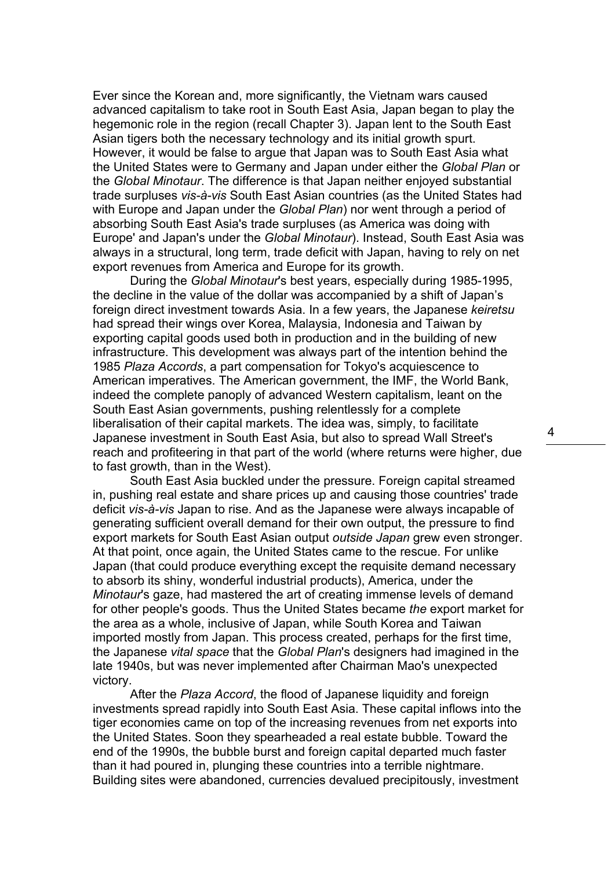Ever since the Korean and, more significantly, the Vietnam wars caused advanced capitalism to take root in South East Asia, Japan began to play the hegemonic role in the region (recall Chapter 3). Japan lent to the South East Asian tigers both the necessary technology and its initial growth spurt. However, it would be false to argue that Japan was to South East Asia what the United States were to Germany and Japan under either the *Global Plan* or the *Global Minotaur*. The difference is that Japan neither enjoyed substantial trade surpluses *vis-à-vis* South East Asian countries (as the United States had with Europe and Japan under the *Global Plan*) nor went through a period of absorbing South East Asia's trade surpluses (as America was doing with Europe' and Japan's under the *Global Minotaur*). Instead, South East Asia was always in a structural, long term, trade deficit with Japan, having to rely on net export revenues from America and Europe for its growth.

During the *Global Minotaur*'s best years, especially during 1985-1995, the decline in the value of the dollar was accompanied by a shift of Japan's foreign direct investment towards Asia. In a few years, the Japanese *keiretsu* had spread their wings over Korea, Malaysia, Indonesia and Taiwan by exporting capital goods used both in production and in the building of new infrastructure. This development was always part of the intention behind the 1985 *Plaza Accords*, a part compensation for Tokyo's acquiescence to American imperatives. The American government, the IMF, the World Bank, indeed the complete panoply of advanced Western capitalism, leant on the South East Asian governments, pushing relentlessly for a complete liberalisation of their capital markets. The idea was, simply, to facilitate Japanese investment in South East Asia, but also to spread Wall Street's reach and profiteering in that part of the world (where returns were higher, due to fast growth, than in the West).

South East Asia buckled under the pressure. Foreign capital streamed in, pushing real estate and share prices up and causing those countries' trade deficit *vis-à-vis* Japan to rise. And as the Japanese were always incapable of generating sufficient overall demand for their own output, the pressure to find export markets for South East Asian output *outside Japan* grew even stronger. At that point, once again, the United States came to the rescue. For unlike Japan (that could produce everything except the requisite demand necessary to absorb its shiny, wonderful industrial products), America, under the *Minotaur*'s gaze, had mastered the art of creating immense levels of demand for other people's goods. Thus the United States became *the* export market for the area as a whole, inclusive of Japan, while South Korea and Taiwan imported mostly from Japan. This process created, perhaps for the first time, the Japanese *vital space* that the *Global Plan*'s designers had imagined in the late 1940s, but was never implemented after Chairman Mao's unexpected victory.

After the *Plaza Accord*, the flood of Japanese liquidity and foreign investments spread rapidly into South East Asia. These capital inflows into the tiger economies came on top of the increasing revenues from net exports into the United States. Soon they spearheaded a real estate bubble. Toward the end of the 1990s, the bubble burst and foreign capital departed much faster than it had poured in, plunging these countries into a terrible nightmare. Building sites were abandoned, currencies devalued precipitously, investment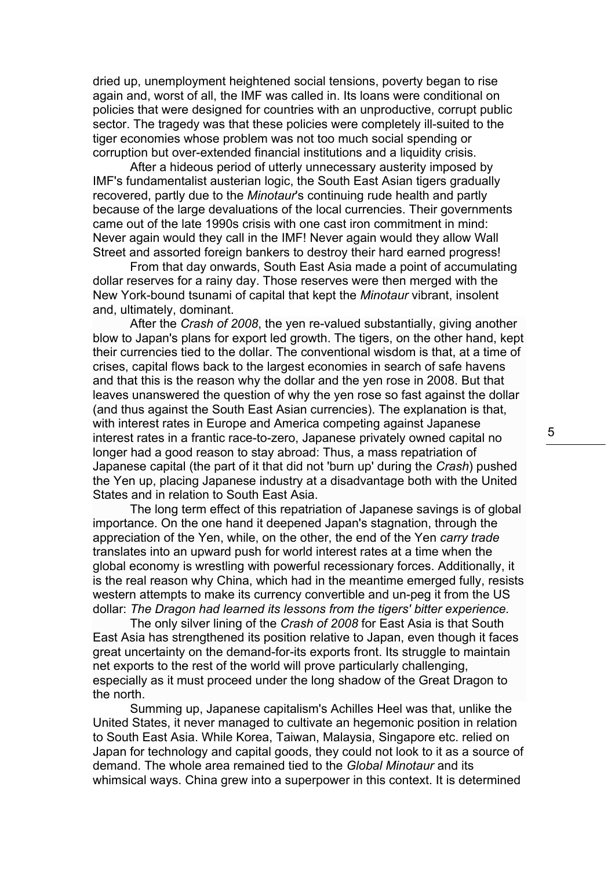dried up, unemployment heightened social tensions, poverty began to rise again and, worst of all, the IMF was called in. Its loans were conditional on policies that were designed for countries with an unproductive, corrupt public sector. The tragedy was that these policies were completely ill-suited to the tiger economies whose problem was not too much social spending or corruption but over-extended financial institutions and a liquidity crisis.

After a hideous period of utterly unnecessary austerity imposed by IMF's fundamentalist austerian logic, the South East Asian tigers gradually recovered, partly due to the *Minotaur*'s continuing rude health and partly because of the large devaluations of the local currencies. Their governments came out of the late 1990s crisis with one cast iron commitment in mind: Never again would they call in the IMF! Never again would they allow Wall Street and assorted foreign bankers to destroy their hard earned progress!

From that day onwards, South East Asia made a point of accumulating dollar reserves for a rainy day. Those reserves were then merged with the New York-bound tsunami of capital that kept the *Minotaur* vibrant, insolent and, ultimately, dominant.

After the *Crash of 2008*, the yen re-valued substantially, giving another blow to Japan's plans for export led growth. The tigers, on the other hand, kept their currencies tied to the dollar. The conventional wisdom is that, at a time of crises, capital flows back to the largest economies in search of safe havens and that this is the reason why the dollar and the yen rose in 2008. But that leaves unanswered the question of why the yen rose so fast against the dollar (and thus against the South East Asian currencies). The explanation is that, with interest rates in Europe and America competing against Japanese interest rates in a frantic race-to-zero, Japanese privately owned capital no longer had a good reason to stay abroad: Thus, a mass repatriation of Japanese capital (the part of it that did not 'burn up' during the *Crash*) pushed the Yen up, placing Japanese industry at a disadvantage both with the United States and in relation to South East Asia.

The long term effect of this repatriation of Japanese savings is of global importance. On the one hand it deepened Japan's stagnation, through the appreciation of the Yen, while, on the other, the end of the Yen *carry trade* translates into an upward push for world interest rates at a time when the global economy is wrestling with powerful recessionary forces. Additionally, it is the real reason why China, which had in the meantime emerged fully, resists western attempts to make its currency convertible and un-peg it from the US dollar: *The Dragon had learned its lessons from the tigers' bitter experience.*

The only silver lining of the *Crash of 2008* for East Asia is that South East Asia has strengthened its position relative to Japan, even though it faces great uncertainty on the demand-for-its exports front. Its struggle to maintain net exports to the rest of the world will prove particularly challenging, especially as it must proceed under the long shadow of the Great Dragon to the north.

Summing up, Japanese capitalism's Achilles Heel was that, unlike the United States, it never managed to cultivate an hegemonic position in relation to South East Asia. While Korea, Taiwan, Malaysia, Singapore etc. relied on Japan for technology and capital goods, they could not look to it as a source of demand. The whole area remained tied to the *Global Minotaur* and its whimsical ways. China grew into a superpower in this context. It is determined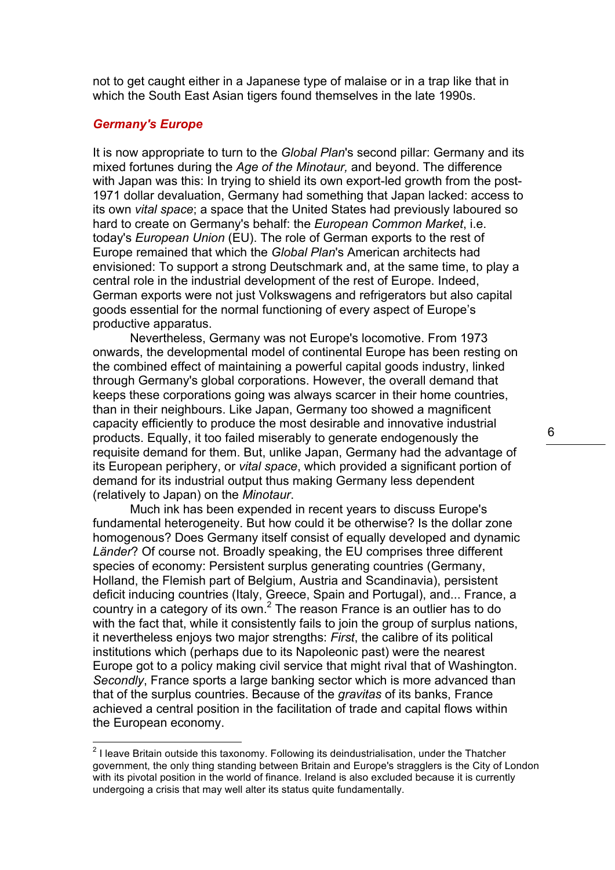not to get caught either in a Japanese type of malaise or in a trap like that in which the South East Asian tigers found themselves in the late 1990s.

### *Germany's Europe*

It is now appropriate to turn to the *Global Plan*'s second pillar: Germany and its mixed fortunes during the *Age of the Minotaur,* and beyond. The difference with Japan was this: In trying to shield its own export-led growth from the post-1971 dollar devaluation, Germany had something that Japan lacked: access to its own *vital space*; a space that the United States had previously laboured so hard to create on Germany's behalf: the *European Common Market*, i.e. today's *European Union* (EU). The role of German exports to the rest of Europe remained that which the *Global Plan*'s American architects had envisioned: To support a strong Deutschmark and, at the same time, to play a central role in the industrial development of the rest of Europe. Indeed, German exports were not just Volkswagens and refrigerators but also capital goods essential for the normal functioning of every aspect of Europe's productive apparatus.

Nevertheless, Germany was not Europe's locomotive. From 1973 onwards, the developmental model of continental Europe has been resting on the combined effect of maintaining a powerful capital goods industry, linked through Germany's global corporations. However, the overall demand that keeps these corporations going was always scarcer in their home countries, than in their neighbours. Like Japan, Germany too showed a magnificent capacity efficiently to produce the most desirable and innovative industrial products. Equally, it too failed miserably to generate endogenously the requisite demand for them. But, unlike Japan, Germany had the advantage of its European periphery, or *vital space*, which provided a significant portion of demand for its industrial output thus making Germany less dependent (relatively to Japan) on the *Minotaur*.

Much ink has been expended in recent years to discuss Europe's fundamental heterogeneity. But how could it be otherwise? Is the dollar zone homogenous? Does Germany itself consist of equally developed and dynamic *Länder*? Of course not. Broadly speaking, the EU comprises three different species of economy: Persistent surplus generating countries (Germany, Holland, the Flemish part of Belgium, Austria and Scandinavia), persistent deficit inducing countries (Italy, Greece, Spain and Portugal), and... France, a country in a category of its own.<sup>2</sup> The reason France is an outlier has to do with the fact that, while it consistently fails to join the group of surplus nations, it nevertheless enjoys two major strengths: *First*, the calibre of its political institutions which (perhaps due to its Napoleonic past) were the nearest Europe got to a policy making civil service that might rival that of Washington. *Secondly*, France sports a large banking sector which is more advanced than that of the surplus countries. Because of the *gravitas* of its banks, France achieved a central position in the facilitation of trade and capital flows within the European economy.

 $2$  I leave Britain outside this taxonomy. Following its deindustrialisation, under the Thatcher government, the only thing standing between Britain and Europe's stragglers is the City of London with its pivotal position in the world of finance. Ireland is also excluded because it is currently undergoing a crisis that may well alter its status quite fundamentally.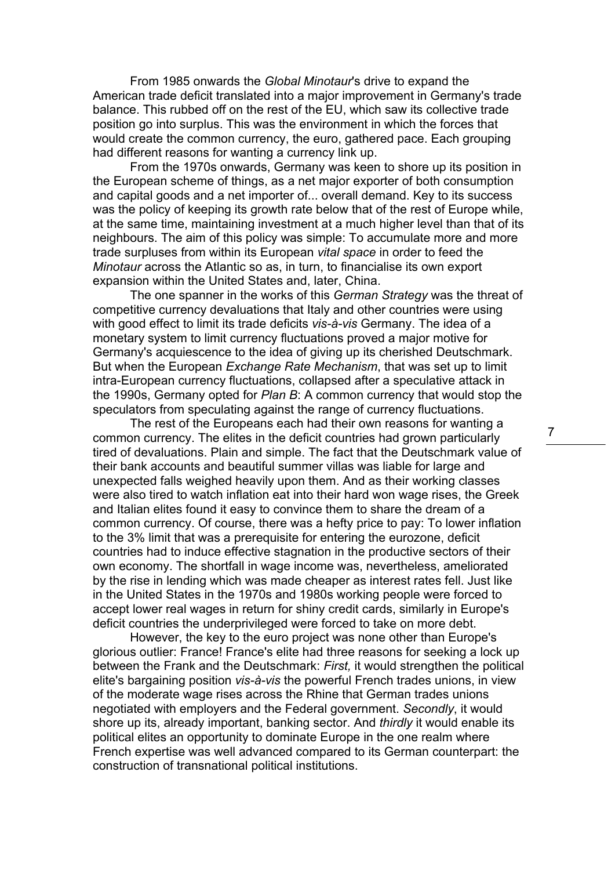From 1985 onwards the *Global Minotaur*'s drive to expand the American trade deficit translated into a major improvement in Germany's trade balance. This rubbed off on the rest of the EU, which saw its collective trade position go into surplus. This was the environment in which the forces that would create the common currency, the euro, gathered pace. Each grouping had different reasons for wanting a currency link up.

From the 1970s onwards, Germany was keen to shore up its position in the European scheme of things, as a net major exporter of both consumption and capital goods and a net importer of... overall demand. Key to its success was the policy of keeping its growth rate below that of the rest of Europe while, at the same time, maintaining investment at a much higher level than that of its neighbours. The aim of this policy was simple: To accumulate more and more trade surpluses from within its European *vital space* in order to feed the *Minotaur* across the Atlantic so as, in turn, to financialise its own export expansion within the United States and, later, China.

The one spanner in the works of this *German Strategy* was the threat of competitive currency devaluations that Italy and other countries were using with good effect to limit its trade deficits *vis-à-vis* Germany. The idea of a monetary system to limit currency fluctuations proved a major motive for Germany's acquiescence to the idea of giving up its cherished Deutschmark. But when the European *Exchange Rate Mechanism*, that was set up to limit intra-European currency fluctuations, collapsed after a speculative attack in the 1990s, Germany opted for *Plan B*: A common currency that would stop the speculators from speculating against the range of currency fluctuations.

The rest of the Europeans each had their own reasons for wanting a common currency. The elites in the deficit countries had grown particularly tired of devaluations. Plain and simple. The fact that the Deutschmark value of their bank accounts and beautiful summer villas was liable for large and unexpected falls weighed heavily upon them. And as their working classes were also tired to watch inflation eat into their hard won wage rises, the Greek and Italian elites found it easy to convince them to share the dream of a common currency. Of course, there was a hefty price to pay: To lower inflation to the 3% limit that was a prerequisite for entering the eurozone, deficit countries had to induce effective stagnation in the productive sectors of their own economy. The shortfall in wage income was, nevertheless, ameliorated by the rise in lending which was made cheaper as interest rates fell. Just like in the United States in the 1970s and 1980s working people were forced to accept lower real wages in return for shiny credit cards, similarly in Europe's deficit countries the underprivileged were forced to take on more debt.

However, the key to the euro project was none other than Europe's glorious outlier: France! France's elite had three reasons for seeking a lock up between the Frank and the Deutschmark: *First,* it would strengthen the political elite's bargaining position *vis-à-vis* the powerful French trades unions, in view of the moderate wage rises across the Rhine that German trades unions negotiated with employers and the Federal government. *Secondly*, it would shore up its, already important, banking sector. And *thirdly* it would enable its political elites an opportunity to dominate Europe in the one realm where French expertise was well advanced compared to its German counterpart: the construction of transnational political institutions.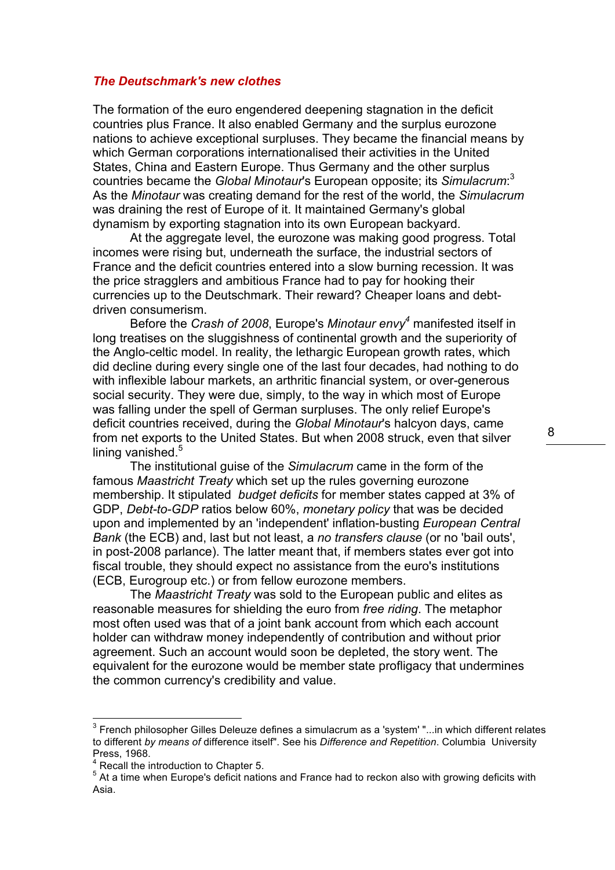### *The Deutschmark's new clothes*

The formation of the euro engendered deepening stagnation in the deficit countries plus France. It also enabled Germany and the surplus eurozone nations to achieve exceptional surpluses. They became the financial means by which German corporations internationalised their activities in the United States, China and Eastern Europe. Thus Germany and the other surplus countries became the *Global Minotaur*'s European opposite; its *Simulacrum*: 3 As the *Minotaur* was creating demand for the rest of the world, the *Simulacrum* was draining the rest of Europe of it. It maintained Germany's global dynamism by exporting stagnation into its own European backyard.

At the aggregate level, the eurozone was making good progress. Total incomes were rising but, underneath the surface, the industrial sectors of France and the deficit countries entered into a slow burning recession. It was the price stragglers and ambitious France had to pay for hooking their currencies up to the Deutschmark. Their reward? Cheaper loans and debtdriven consumerism.

Before the *Crash of 2008*, Europe's *Minotaur envy4* manifested itself in long treatises on the sluggishness of continental growth and the superiority of the Anglo-celtic model. In reality, the lethargic European growth rates, which did decline during every single one of the last four decades, had nothing to do with inflexible labour markets, an arthritic financial system, or over-generous social security. They were due, simply, to the way in which most of Europe was falling under the spell of German surpluses. The only relief Europe's deficit countries received, during the *Global Minotaur*'s halcyon days, came from net exports to the United States. But when 2008 struck, even that silver lining vanished.<sup>5</sup>

The institutional guise of the *Simulacrum* came in the form of the famous *Maastricht Treaty* which set up the rules governing eurozone membership. It stipulated *budget deficits* for member states capped at 3% of GDP, *Debt-to-GDP* ratios below 60%, *monetary policy* that was be decided upon and implemented by an 'independent' inflation-busting *European Central Bank* (the ECB) and, last but not least, a *no transfers clause* (or no 'bail outs', in post-2008 parlance). The latter meant that, if members states ever got into fiscal trouble, they should expect no assistance from the euro's institutions (ECB, Eurogroup etc.) or from fellow eurozone members.

The *Maastricht Treaty* was sold to the European public and elites as reasonable measures for shielding the euro from *free riding*. The metaphor most often used was that of a joint bank account from which each account holder can withdraw money independently of contribution and without prior agreement. Such an account would soon be depleted, the story went. The equivalent for the eurozone would be member state profligacy that undermines the common currency's credibility and value.

 $3$  French philosopher Gilles Deleuze defines a simulacrum as a 'system' "...in which different relates to different *by means of* difference itself". See his *Difference and Repetition*. Columbia University Press, 1968.

<sup>4</sup> Recall the introduction to Chapter 5.

<sup>&</sup>lt;sup>5</sup> At a time when Europe's deficit nations and France had to reckon also with growing deficits with Asia.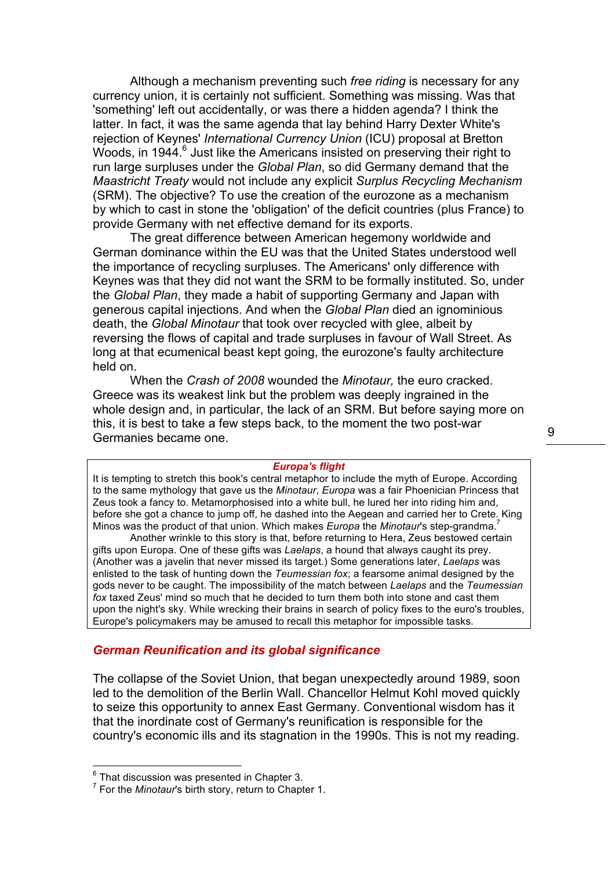Although a mechanism preventing such *free riding* is necessary for any currency union, it is certainly not sufficient. Something was missing. Was that 'something' left out accidentally, or was there a hidden agenda? I think the latter. In fact, it was the same agenda that lay behind Harry Dexter White's rejection of Keynes' *International Currency Union* (ICU) proposal at Bretton Woods, in 1944.<sup>6</sup> Just like the Americans insisted on preserving their right to run large surpluses under the *Global Plan*, so did Germany demand that the *Maastricht Treaty* would not include any explicit *Surplus Recycling Mechanism* (SRM). The objective? To use the creation of the eurozone as a mechanism by which to cast in stone the 'obligation' of the deficit countries (plus France) to provide Germany with net effective demand for its exports.

The great difference between American hegemony worldwide and German dominance within the EU was that the United States understood well the importance of recycling surpluses. The Americans' only difference with Keynes was that they did not want the SRM to be formally instituted. So, under the *Global Plan*, they made a habit of supporting Germany and Japan with generous capital injections. And when the *Global Plan* died an ignominious death, the *Global Minotaur* that took over recycled with glee, albeit by reversing the flows of capital and trade surpluses in favour of Wall Street. As long at that ecumenical beast kept going, the eurozone's faulty architecture held on.

When the *Crash of 2008* wounded the *Minotaur,* the euro cracked. Greece was its weakest link but the problem was deeply ingrained in the whole design and, in particular, the lack of an SRM. But before saying more on this, it is best to take a few steps back, to the moment the two post-war Germanies became one.

#### *Europa's flight*

It is tempting to stretch this book's central metaphor to include the myth of Europe. According to the same mythology that gave us the *Minotaur*, *Europa* was a fair Phoenician Princess that Zeus took a fancy to. Metamorphosised into a white bull, he lured her into riding him and, before she got a chance to jump off, he dashed into the Aegean and carried her to Crete. King Minos was the product of that union. Which makes *Europa* the *Minotaur*'s step-grandma.7

Another wrinkle to this story is that, before returning to Hera, Zeus bestowed certain gifts upon Europa. One of these gifts was *Laelaps*, a hound that always caught its prey. (Another was a javelin that never missed its target.) Some generations later, *Laelaps* was enlisted to the task of hunting down the *Teumessian fox*; a fearsome animal designed by the gods never to be caught. The impossibility of the match between *Laelaps* and the *Teumessian fox* taxed Zeus' mind so much that he decided to turn them both into stone and cast them upon the night's sky. While wrecking their brains in search of policy fixes to the euro's troubles, Europe's policymakers may be amused to recall this metaphor for impossible tasks.

## *German Reunification and its global significance*

The collapse of the Soviet Union, that began unexpectedly around 1989, soon led to the demolition of the Berlin Wall. Chancellor Helmut Kohl moved quickly to seize this opportunity to annex East Germany. Conventional wisdom has it that the inordinate cost of Germany's reunification is responsible for the country's economic ills and its stagnation in the 1990s. This is not my reading.

 $6$  That discussion was presented in Chapter 3.

<sup>7</sup> For the *Minotaur*'s birth story, return to Chapter 1.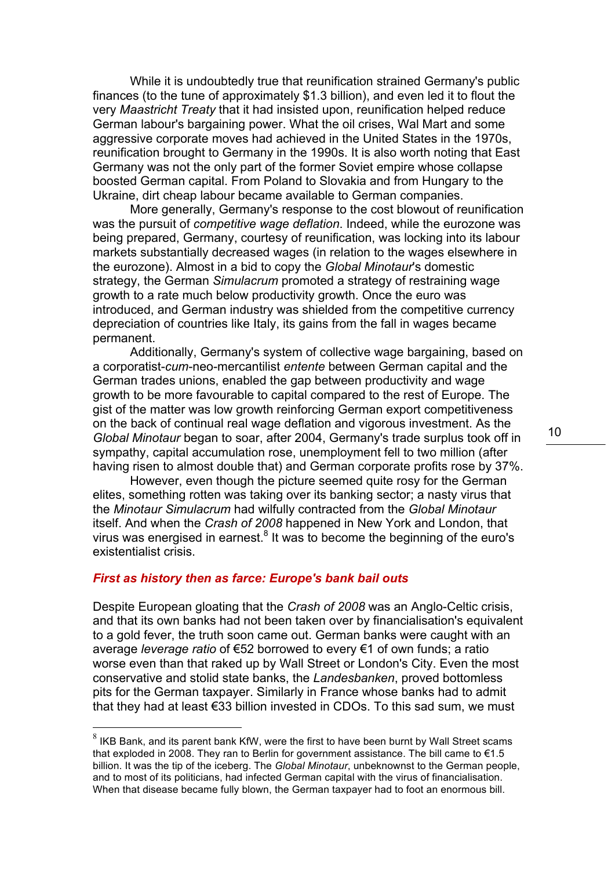While it is undoubtedly true that reunification strained Germany's public finances (to the tune of approximately \$1.3 billion), and even led it to flout the very *Maastricht Treaty* that it had insisted upon, reunification helped reduce German labour's bargaining power. What the oil crises, Wal Mart and some aggressive corporate moves had achieved in the United States in the 1970s, reunification brought to Germany in the 1990s. It is also worth noting that East Germany was not the only part of the former Soviet empire whose collapse boosted German capital. From Poland to Slovakia and from Hungary to the Ukraine, dirt cheap labour became available to German companies.

More generally, Germany's response to the cost blowout of reunification was the pursuit of *competitive wage deflation*. Indeed, while the eurozone was being prepared, Germany, courtesy of reunification, was locking into its labour markets substantially decreased wages (in relation to the wages elsewhere in the eurozone). Almost in a bid to copy the *Global Minotaur*'s domestic strategy, the German *Simulacrum* promoted a strategy of restraining wage growth to a rate much below productivity growth. Once the euro was introduced, and German industry was shielded from the competitive currency depreciation of countries like Italy, its gains from the fall in wages became permanent.

Additionally, Germany's system of collective wage bargaining, based on a corporatist-*cum*-neo-mercantilist *entente* between German capital and the German trades unions, enabled the gap between productivity and wage growth to be more favourable to capital compared to the rest of Europe. The gist of the matter was low growth reinforcing German export competitiveness on the back of continual real wage deflation and vigorous investment. As the *Global Minotaur* began to soar, after 2004, Germany's trade surplus took off in sympathy, capital accumulation rose, unemployment fell to two million (after having risen to almost double that) and German corporate profits rose by 37%.

However, even though the picture seemed quite rosy for the German elites, something rotten was taking over its banking sector; a nasty virus that the *Minotaur Simulacrum* had wilfully contracted from the *Global Minotaur* itself. And when the *Crash of 2008* happened in New York and London, that virus was energised in earnest. $8$  It was to become the beginning of the euro's existentialist crisis.

## *First as history then as farce: Europe's bank bail outs*

Despite European gloating that the *Crash of 2008* was an Anglo-Celtic crisis, and that its own banks had not been taken over by financialisation's equivalent to a gold fever, the truth soon came out. German banks were caught with an average *leverage ratio* of €52 borrowed to every €1 of own funds; a ratio worse even than that raked up by Wall Street or London's City. Even the most conservative and stolid state banks, the *Landesbanken*, proved bottomless pits for the German taxpayer. Similarly in France whose banks had to admit that they had at least €33 billion invested in CDOs. To this sad sum, we must

 $8$  IKB Bank, and its parent bank KfW, were the first to have been burnt by Wall Street scams that exploded in 2008. They ran to Berlin for government assistance. The bill came to €1.5 billion. It was the tip of the iceberg. The *Global Minotaur*, unbeknownst to the German people, and to most of its politicians, had infected German capital with the virus of financialisation. When that disease became fully blown, the German taxpayer had to foot an enormous bill.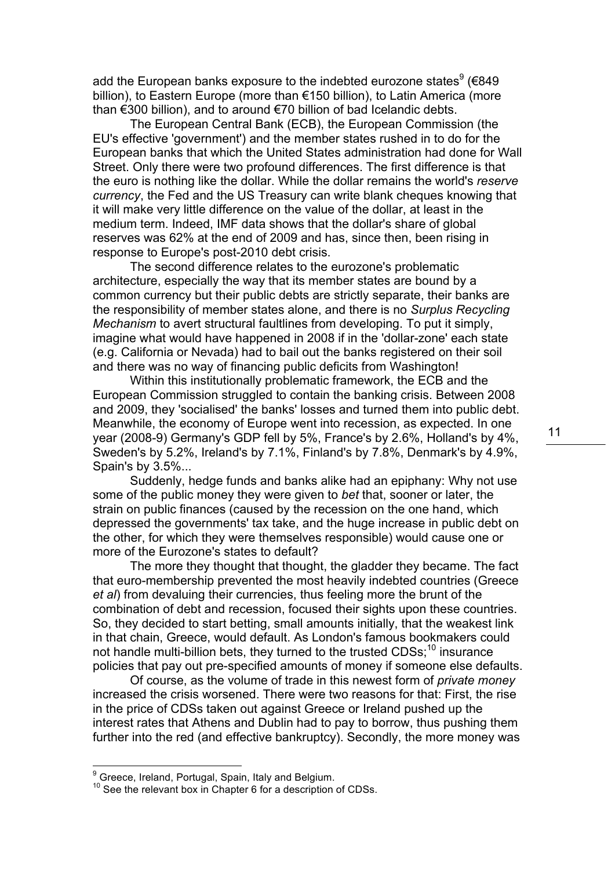add the European banks exposure to the indebted eurozone states  $(6849)$ billion), to Eastern Europe (more than €150 billion), to Latin America (more than €300 billion), and to around €70 billion of bad Icelandic debts.

The European Central Bank (ECB), the European Commission (the EU's effective 'government') and the member states rushed in to do for the European banks that which the United States administration had done for Wall Street. Only there were two profound differences. The first difference is that the euro is nothing like the dollar. While the dollar remains the world's *reserve currency*, the Fed and the US Treasury can write blank cheques knowing that it will make very little difference on the value of the dollar, at least in the medium term. Indeed, IMF data shows that the dollar's share of global reserves was 62% at the end of 2009 and has, since then, been rising in response to Europe's post-2010 debt crisis.

The second difference relates to the eurozone's problematic architecture, especially the way that its member states are bound by a common currency but their public debts are strictly separate, their banks are the responsibility of member states alone, and there is no *Surplus Recycling Mechanism* to avert structural faultlines from developing. To put it simply, imagine what would have happened in 2008 if in the 'dollar-zone' each state (e.g. California or Nevada) had to bail out the banks registered on their soil and there was no way of financing public deficits from Washington!

Within this institutionally problematic framework, the ECB and the European Commission struggled to contain the banking crisis. Between 2008 and 2009, they 'socialised' the banks' losses and turned them into public debt. Meanwhile, the economy of Europe went into recession, as expected. In one year (2008-9) Germany's GDP fell by 5%, France's by 2.6%, Holland's by 4%, Sweden's by 5.2%, Ireland's by 7.1%, Finland's by 7.8%, Denmark's by 4.9%, Spain's by 3.5%...

Suddenly, hedge funds and banks alike had an epiphany: Why not use some of the public money they were given to *bet* that, sooner or later, the strain on public finances (caused by the recession on the one hand, which depressed the governments' tax take, and the huge increase in public debt on the other, for which they were themselves responsible) would cause one or more of the Eurozone's states to default?

The more they thought that thought, the gladder they became. The fact that euro-membership prevented the most heavily indebted countries (Greece *et al*) from devaluing their currencies, thus feeling more the brunt of the combination of debt and recession, focused their sights upon these countries. So, they decided to start betting, small amounts initially, that the weakest link in that chain, Greece, would default. As London's famous bookmakers could not handle multi-billion bets, they turned to the trusted CDSs;<sup>10</sup> insurance policies that pay out pre-specified amounts of money if someone else defaults.

Of course, as the volume of trade in this newest form of *private money* increased the crisis worsened. There were two reasons for that: First, the rise in the price of CDSs taken out against Greece or Ireland pushed up the interest rates that Athens and Dublin had to pay to borrow, thus pushing them further into the red (and effective bankruptcy). Secondly, the more money was

 $9^9$  Greece, Ireland, Portugal, Spain, Italy and Belgium.

<sup>&</sup>lt;sup>10</sup> See the relevant box in Chapter 6 for a description of CDSs.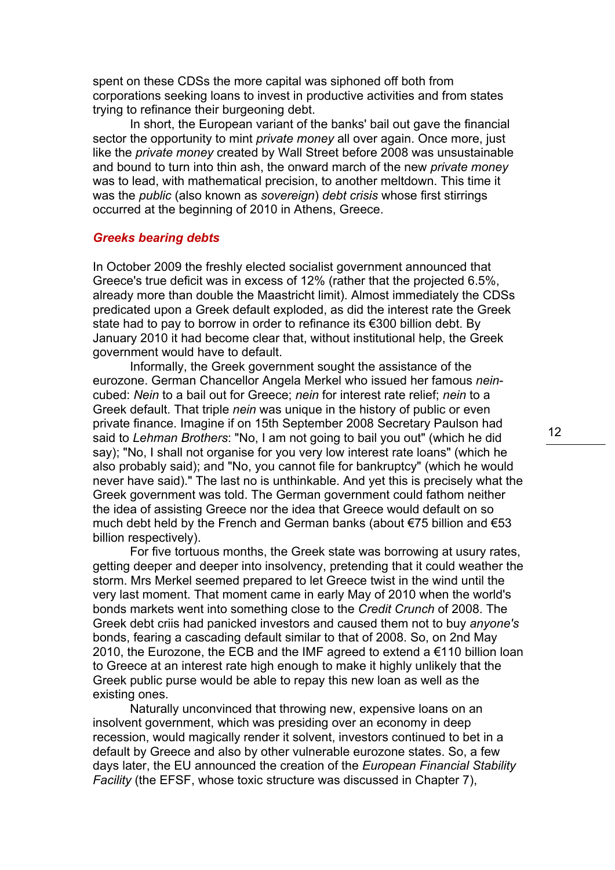spent on these CDSs the more capital was siphoned off both from corporations seeking loans to invest in productive activities and from states trying to refinance their burgeoning debt.

In short, the European variant of the banks' bail out gave the financial sector the opportunity to mint *private money* all over again. Once more, just like the *private money* created by Wall Street before 2008 was unsustainable and bound to turn into thin ash, the onward march of the new *private money* was to lead, with mathematical precision, to another meltdown. This time it was the *public* (also known as *sovereign*) *debt crisis* whose first stirrings occurred at the beginning of 2010 in Athens, Greece.

#### *Greeks bearing debts*

In October 2009 the freshly elected socialist government announced that Greece's true deficit was in excess of 12% (rather that the projected 6.5%, already more than double the Maastricht limit). Almost immediately the CDSs predicated upon a Greek default exploded, as did the interest rate the Greek state had to pay to borrow in order to refinance its €300 billion debt. By January 2010 it had become clear that, without institutional help, the Greek government would have to default.

Informally, the Greek government sought the assistance of the eurozone. German Chancellor Angela Merkel who issued her famous *nein*cubed: *Nein* to a bail out for Greece; *nein* for interest rate relief; *nein* to a Greek default. That triple *nein* was unique in the history of public or even private finance. Imagine if on 15th September 2008 Secretary Paulson had said to *Lehman Brothers*: "No, I am not going to bail you out" (which he did say); "No, I shall not organise for you very low interest rate loans" (which he also probably said); and "No, you cannot file for bankruptcy" (which he would never have said)." The last no is unthinkable. And yet this is precisely what the Greek government was told. The German government could fathom neither the idea of assisting Greece nor the idea that Greece would default on so much debt held by the French and German banks (about €75 billion and €53 billion respectively).

For five tortuous months, the Greek state was borrowing at usury rates, getting deeper and deeper into insolvency, pretending that it could weather the storm. Mrs Merkel seemed prepared to let Greece twist in the wind until the very last moment. That moment came in early May of 2010 when the world's bonds markets went into something close to the *Credit Crunch* of 2008. The Greek debt criis had panicked investors and caused them not to buy *anyone's*  bonds, fearing a cascading default similar to that of 2008. So, on 2nd May 2010, the Eurozone, the ECB and the IMF agreed to extend a €110 billion loan to Greece at an interest rate high enough to make it highly unlikely that the Greek public purse would be able to repay this new loan as well as the existing ones.

Naturally unconvinced that throwing new, expensive loans on an insolvent government, which was presiding over an economy in deep recession, would magically render it solvent, investors continued to bet in a default by Greece and also by other vulnerable eurozone states. So, a few days later, the EU announced the creation of the *European Financial Stability Facility* (the EFSF, whose toxic structure was discussed in Chapter 7),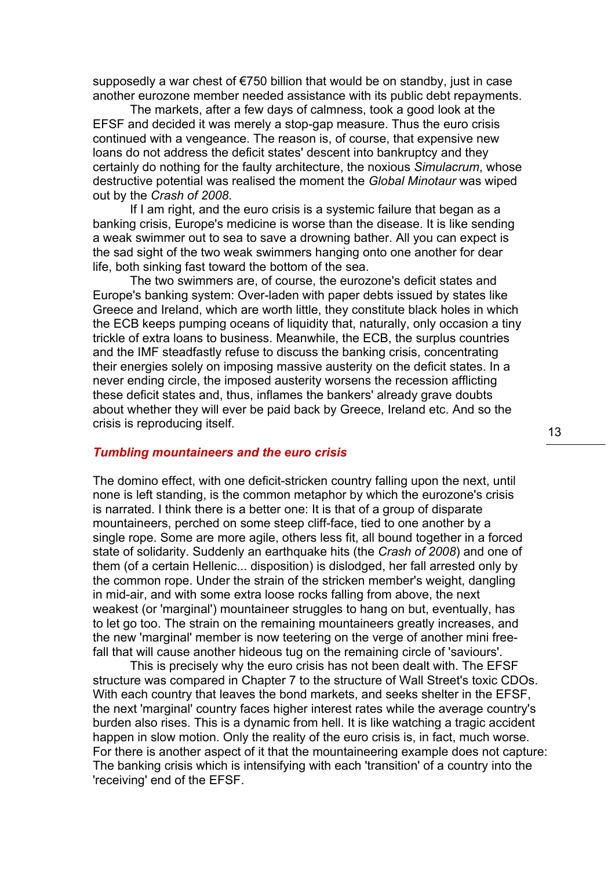supposedly a war chest of  $\epsilon$ 750 billion that would be on standby, just in case another eurozone member needed assistance with its public debt repayments.

The markets, after a few days of calmness, took a good look at the EFSF and decided it was merely a stop-gap measure. Thus the euro crisis continued with a vengeance. The reason is, of course, that expensive new loans do not address the deficit states' descent into bankruptcy and they certainly do nothing for the faulty architecture, the noxious *Simulacrum*, whose destructive potential was realised the moment the *Global Minotaur* was wiped out by the *Crash of 2008*.

If I am right, and the euro crisis is a systemic failure that began as a banking crisis, Europe's medicine is worse than the disease. It is like sending a weak swimmer out to sea to save a drowning bather. All you can expect is the sad sight of the two weak swimmers hanging onto one another for dear life, both sinking fast toward the bottom of the sea.

The two swimmers are, of course, the eurozone's deficit states and Europe's banking system: Over-laden with paper debts issued by states like Greece and Ireland, which are worth little, they constitute black holes in which the ECB keeps pumping oceans of liquidity that, naturally, only occasion a tiny trickle of extra loans to business. Meanwhile, the ECB, the surplus countries and the IMF steadfastly refuse to discuss the banking crisis, concentrating their energies solely on imposing massive austerity on the deficit states. In a never ending circle, the imposed austerity worsens the recession afflicting these deficit states and, thus, inflames the bankers' already grave doubts about whether they will ever be paid back by Greece, Ireland etc. And so the crisis is reproducing itself.

#### *Tumbling mountaineers and the euro crisis*

The domino effect, with one deficit-stricken country falling upon the next, until none is left standing, is the common metaphor by which the eurozone's crisis is narrated. I think there is a better one: It is that of a group of disparate mountaineers, perched on some steep cliff-face, tied to one another by a single rope. Some are more agile, others less fit, all bound together in a forced state of solidarity. Suddenly an earthquake hits (the *Crash of 2008*) and one of them (of a certain Hellenic... disposition) is dislodged, her fall arrested only by the common rope. Under the strain of the stricken member's weight, dangling in mid-air, and with some extra loose rocks falling from above, the next weakest (or 'marginal') mountaineer struggles to hang on but, eventually, has to let go too. The strain on the remaining mountaineers greatly increases, and the new 'marginal' member is now teetering on the verge of another mini freefall that will cause another hideous tug on the remaining circle of 'saviours'.

This is precisely why the euro crisis has not been dealt with. The EFSF structure was compared in Chapter 7 to the structure of Wall Street's toxic CDOs. With each country that leaves the bond markets, and seeks shelter in the EFSF, the next 'marginal' country faces higher interest rates while the average country's burden also rises. This is a dynamic from hell. It is like watching a tragic accident happen in slow motion. Only the reality of the euro crisis is, in fact, much worse. For there is another aspect of it that the mountaineering example does not capture: The banking crisis which is intensifying with each 'transition' of a country into the 'receiving' end of the EFSF.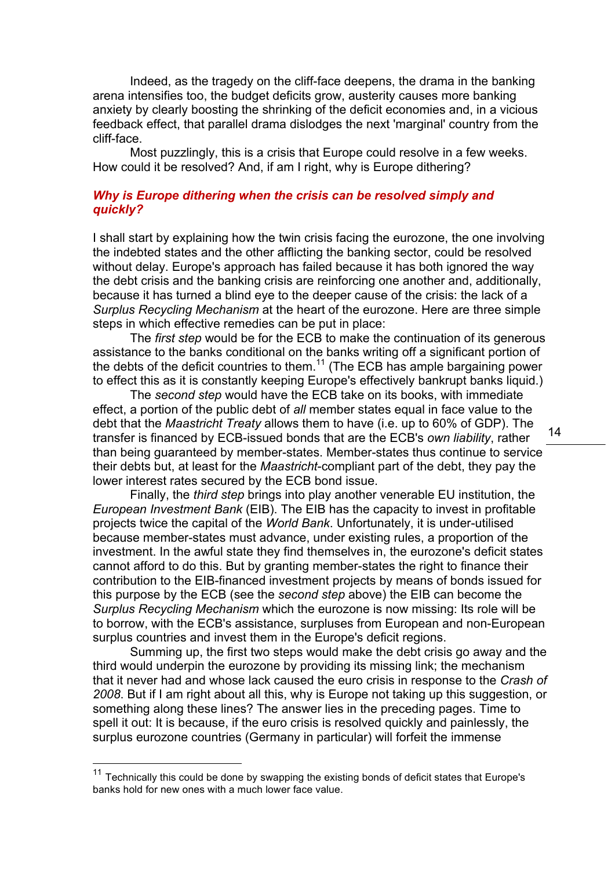Indeed, as the tragedy on the cliff-face deepens, the drama in the banking arena intensifies too, the budget deficits grow, austerity causes more banking anxiety by clearly boosting the shrinking of the deficit economies and, in a vicious feedback effect, that parallel drama dislodges the next 'marginal' country from the cliff-face.

Most puzzlingly, this is a crisis that Europe could resolve in a few weeks. How could it be resolved? And, if am I right, why is Europe dithering?

## *Why is Europe dithering when the crisis can be resolved simply and quickly?*

I shall start by explaining how the twin crisis facing the eurozone, the one involving the indebted states and the other afflicting the banking sector, could be resolved without delay. Europe's approach has failed because it has both ignored the way the debt crisis and the banking crisis are reinforcing one another and, additionally, because it has turned a blind eye to the deeper cause of the crisis: the lack of a *Surplus Recycling Mechanism* at the heart of the eurozone. Here are three simple steps in which effective remedies can be put in place:

The *first step* would be for the ECB to make the continuation of its generous assistance to the banks conditional on the banks writing off a significant portion of the debts of the deficit countries to them.<sup>11</sup> (The ECB has ample bargaining power to effect this as it is constantly keeping Europe's effectively bankrupt banks liquid.)

The *second step* would have the ECB take on its books, with immediate effect, a portion of the public debt of *all* member states equal in face value to the debt that the *Maastricht Treaty* allows them to have (i.e. up to 60% of GDP). The transfer is financed by ECB-issued bonds that are the ECB's *own liability*, rather than being guaranteed by member-states. Member-states thus continue to service their debts but, at least for the *Maastricht*-compliant part of the debt, they pay the lower interest rates secured by the ECB bond issue.

Finally, the *third step* brings into play another venerable EU institution, the *European Investment Bank* (EIB). The EIB has the capacity to invest in profitable projects twice the capital of the *World Bank*. Unfortunately, it is under-utilised because member-states must advance, under existing rules, a proportion of the investment. In the awful state they find themselves in, the eurozone's deficit states cannot afford to do this. But by granting member-states the right to finance their contribution to the EIB-financed investment projects by means of bonds issued for this purpose by the ECB (see the *second step* above) the EIB can become the *Surplus Recycling Mechanism* which the eurozone is now missing: Its role will be to borrow, with the ECB's assistance, surpluses from European and non-European surplus countries and invest them in the Europe's deficit regions.

Summing up, the first two steps would make the debt crisis go away and the third would underpin the eurozone by providing its missing link; the mechanism that it never had and whose lack caused the euro crisis in response to the *Crash of 2008*. But if I am right about all this, why is Europe not taking up this suggestion, or something along these lines? The answer lies in the preceding pages. Time to spell it out: It is because, if the euro crisis is resolved quickly and painlessly, the surplus eurozone countries (Germany in particular) will forfeit the immense

 $11$  Technically this could be done by swapping the existing bonds of deficit states that Europe's banks hold for new ones with a much lower face value.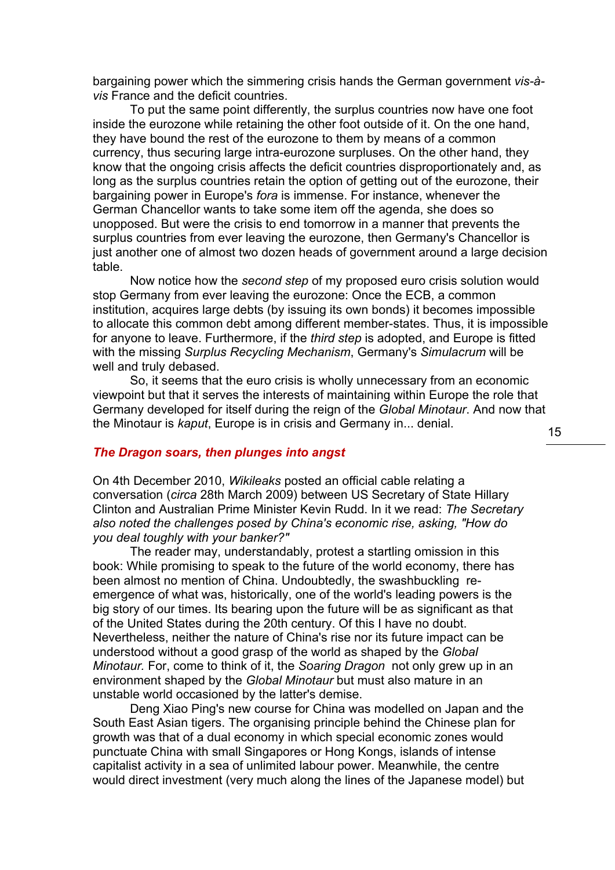bargaining power which the simmering crisis hands the German government *vis-àvis* France and the deficit countries.

To put the same point differently, the surplus countries now have one foot inside the eurozone while retaining the other foot outside of it. On the one hand, they have bound the rest of the eurozone to them by means of a common currency, thus securing large intra-eurozone surpluses. On the other hand, they know that the ongoing crisis affects the deficit countries disproportionately and, as long as the surplus countries retain the option of getting out of the eurozone, their bargaining power in Europe's *fora* is immense. For instance, whenever the German Chancellor wants to take some item off the agenda, she does so unopposed. But were the crisis to end tomorrow in a manner that prevents the surplus countries from ever leaving the eurozone, then Germany's Chancellor is just another one of almost two dozen heads of government around a large decision table.

Now notice how the *second step* of my proposed euro crisis solution would stop Germany from ever leaving the eurozone: Once the ECB, a common institution, acquires large debts (by issuing its own bonds) it becomes impossible to allocate this common debt among different member-states. Thus, it is impossible for anyone to leave. Furthermore, if the *third step* is adopted, and Europe is fitted with the missing *Surplus Recycling Mechanism*, Germany's *Simulacrum* will be well and truly debased.

So, it seems that the euro crisis is wholly unnecessary from an economic viewpoint but that it serves the interests of maintaining within Europe the role that Germany developed for itself during the reign of the *Global Minotaur*. And now that the Minotaur is *kaput*, Europe is in crisis and Germany in... denial.

#### *The Dragon soars, then plunges into angst*

On 4th December 2010, *Wikileaks* posted an official cable relating a conversation (*circa* 28th March 2009) between US Secretary of State Hillary Clinton and Australian Prime Minister Kevin Rudd. In it we read: *The Secretary also noted the challenges posed by China's economic rise, asking, "How do you deal toughly with your banker?"*

The reader may, understandably, protest a startling omission in this book: While promising to speak to the future of the world economy, there has been almost no mention of China. Undoubtedly, the swashbuckling reemergence of what was, historically, one of the world's leading powers is the big story of our times. Its bearing upon the future will be as significant as that of the United States during the 20th century. Of this I have no doubt. Nevertheless, neither the nature of China's rise nor its future impact can be understood without a good grasp of the world as shaped by the *Global Minotaur.* For, come to think of it, the *Soaring Dragon* not only grew up in an environment shaped by the *Global Minotaur* but must also mature in an unstable world occasioned by the latter's demise.

Deng Xiao Ping's new course for China was modelled on Japan and the South East Asian tigers. The organising principle behind the Chinese plan for growth was that of a dual economy in which special economic zones would punctuate China with small Singapores or Hong Kongs, islands of intense capitalist activity in a sea of unlimited labour power. Meanwhile, the centre would direct investment (very much along the lines of the Japanese model) but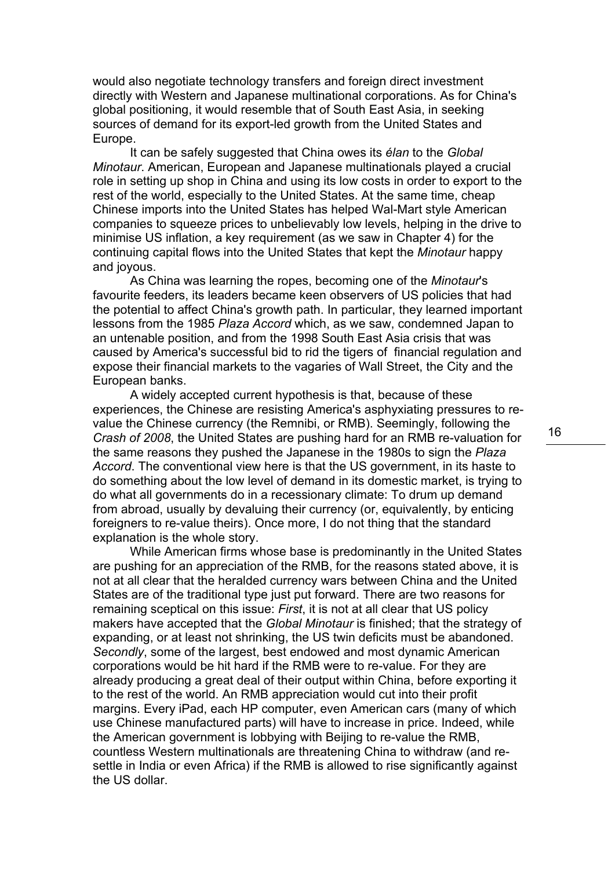would also negotiate technology transfers and foreign direct investment directly with Western and Japanese multinational corporations. As for China's global positioning, it would resemble that of South East Asia, in seeking sources of demand for its export-led growth from the United States and Europe.

It can be safely suggested that China owes its *élan* to the *Global Minotaur*. American, European and Japanese multinationals played a crucial role in setting up shop in China and using its low costs in order to export to the rest of the world, especially to the United States. At the same time, cheap Chinese imports into the United States has helped Wal-Mart style American companies to squeeze prices to unbelievably low levels, helping in the drive to minimise US inflation, a key requirement (as we saw in Chapter 4) for the continuing capital flows into the United States that kept the *Minotaur* happy and joyous.

As China was learning the ropes, becoming one of the *Minotaur*'s favourite feeders, its leaders became keen observers of US policies that had the potential to affect China's growth path. In particular, they learned important lessons from the 1985 *Plaza Accord* which, as we saw, condemned Japan to an untenable position, and from the 1998 South East Asia crisis that was caused by America's successful bid to rid the tigers of financial regulation and expose their financial markets to the vagaries of Wall Street, the City and the European banks.

A widely accepted current hypothesis is that, because of these experiences, the Chinese are resisting America's asphyxiating pressures to revalue the Chinese currency (the Remnibi, or RMB). Seemingly, following the *Crash of 2008*, the United States are pushing hard for an RMB re-valuation for the same reasons they pushed the Japanese in the 1980s to sign the *Plaza Accord*. The conventional view here is that the US government, in its haste to do something about the low level of demand in its domestic market, is trying to do what all governments do in a recessionary climate: To drum up demand from abroad, usually by devaluing their currency (or, equivalently, by enticing foreigners to re-value theirs). Once more, I do not thing that the standard explanation is the whole story.

While American firms whose base is predominantly in the United States are pushing for an appreciation of the RMB, for the reasons stated above, it is not at all clear that the heralded currency wars between China and the United States are of the traditional type just put forward. There are two reasons for remaining sceptical on this issue: *First*, it is not at all clear that US policy makers have accepted that the *Global Minotaur* is finished; that the strategy of expanding, or at least not shrinking, the US twin deficits must be abandoned. *Secondly*, some of the largest, best endowed and most dynamic American corporations would be hit hard if the RMB were to re-value. For they are already producing a great deal of their output within China, before exporting it to the rest of the world. An RMB appreciation would cut into their profit margins. Every iPad, each HP computer, even American cars (many of which use Chinese manufactured parts) will have to increase in price. Indeed, while the American government is lobbying with Beijing to re-value the RMB, countless Western multinationals are threatening China to withdraw (and resettle in India or even Africa) if the RMB is allowed to rise significantly against the US dollar.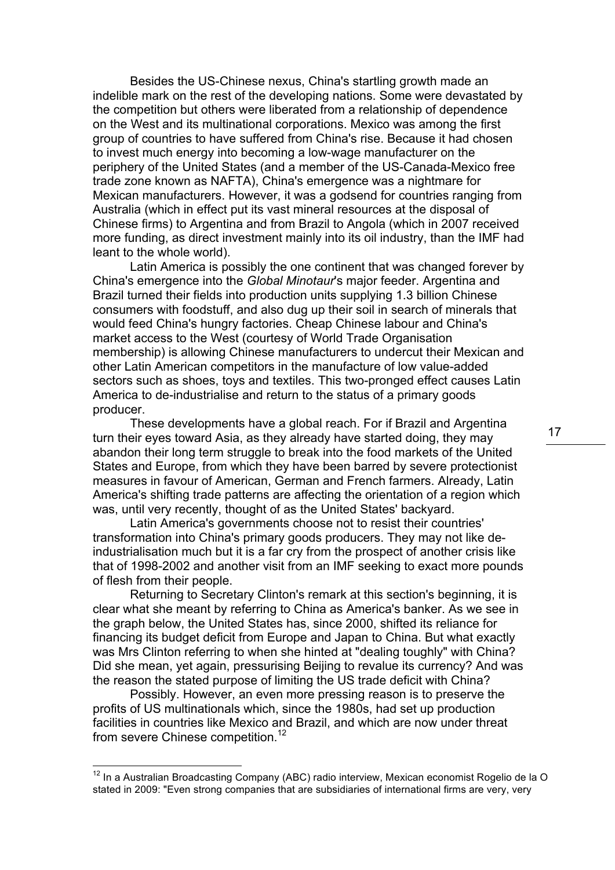Besides the US-Chinese nexus, China's startling growth made an indelible mark on the rest of the developing nations. Some were devastated by the competition but others were liberated from a relationship of dependence on the West and its multinational corporations. Mexico was among the first group of countries to have suffered from China's rise. Because it had chosen to invest much energy into becoming a low-wage manufacturer on the periphery of the United States (and a member of the US-Canada-Mexico free trade zone known as NAFTA), China's emergence was a nightmare for Mexican manufacturers. However, it was a godsend for countries ranging from Australia (which in effect put its vast mineral resources at the disposal of Chinese firms) to Argentina and from Brazil to Angola (which in 2007 received more funding, as direct investment mainly into its oil industry, than the IMF had leant to the whole world).

Latin America is possibly the one continent that was changed forever by China's emergence into the *Global Minotaur*'s major feeder. Argentina and Brazil turned their fields into production units supplying 1.3 billion Chinese consumers with foodstuff, and also dug up their soil in search of minerals that would feed China's hungry factories. Cheap Chinese labour and China's market access to the West (courtesy of World Trade Organisation membership) is allowing Chinese manufacturers to undercut their Mexican and other Latin American competitors in the manufacture of low value-added sectors such as shoes, toys and textiles. This two-pronged effect causes Latin America to de-industrialise and return to the status of a primary goods producer.

These developments have a global reach. For if Brazil and Argentina turn their eyes toward Asia, as they already have started doing, they may abandon their long term struggle to break into the food markets of the United States and Europe, from which they have been barred by severe protectionist measures in favour of American, German and French farmers. Already, Latin America's shifting trade patterns are affecting the orientation of a region which was, until very recently, thought of as the United States' backyard.

Latin America's governments choose not to resist their countries' transformation into China's primary goods producers. They may not like deindustrialisation much but it is a far cry from the prospect of another crisis like that of 1998-2002 and another visit from an IMF seeking to exact more pounds of flesh from their people.

Returning to Secretary Clinton's remark at this section's beginning, it is clear what she meant by referring to China as America's banker. As we see in the graph below, the United States has, since 2000, shifted its reliance for financing its budget deficit from Europe and Japan to China. But what exactly was Mrs Clinton referring to when she hinted at "dealing toughly" with China? Did she mean, yet again, pressurising Beijing to revalue its currency? And was the reason the stated purpose of limiting the US trade deficit with China?

Possibly. However, an even more pressing reason is to preserve the profits of US multinationals which, since the 1980s, had set up production facilities in countries like Mexico and Brazil, and which are now under threat from severe Chinese competition.<sup>12</sup>

 $12$  In a Australian Broadcasting Company (ABC) radio interview, Mexican economist Rogelio de la O stated in 2009: "Even strong companies that are subsidiaries of international firms are very, very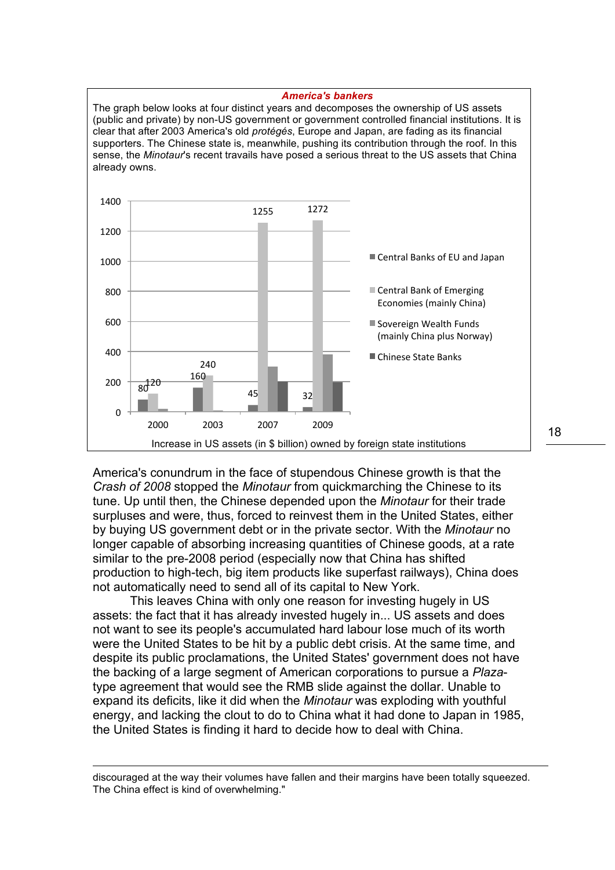

America's conundrum in the face of stupendous Chinese growth is that the *Crash of 2008* stopped the *Minotaur* from quickmarching the Chinese to its tune. Up until then, the Chinese depended upon the *Minotaur* for their trade surpluses and were, thus, forced to reinvest them in the United States, either by buying US government debt or in the private sector. With the *Minotaur* no longer capable of absorbing increasing quantities of Chinese goods, at a rate similar to the pre-2008 period (especially now that China has shifted production to high-tech, big item products like superfast railways), China does not automatically need to send all of its capital to New York.

This leaves China with only one reason for investing hugely in US assets: the fact that it has already invested hugely in... US assets and does not want to see its people's accumulated hard labour lose much of its worth were the United States to be hit by a public debt crisis. At the same time, and despite its public proclamations, the United States' government does not have the backing of a large segment of American corporations to pursue a *Plaza*type agreement that would see the RMB slide against the dollar. Unable to expand its deficits, like it did when the *Minotaur* was exploding with youthful energy, and lacking the clout to do to China what it had done to Japan in 1985, the United States is finding it hard to decide how to deal with China.

discouraged at the way their volumes have fallen and their margins have been totally squeezed. The China effect is kind of overwhelming."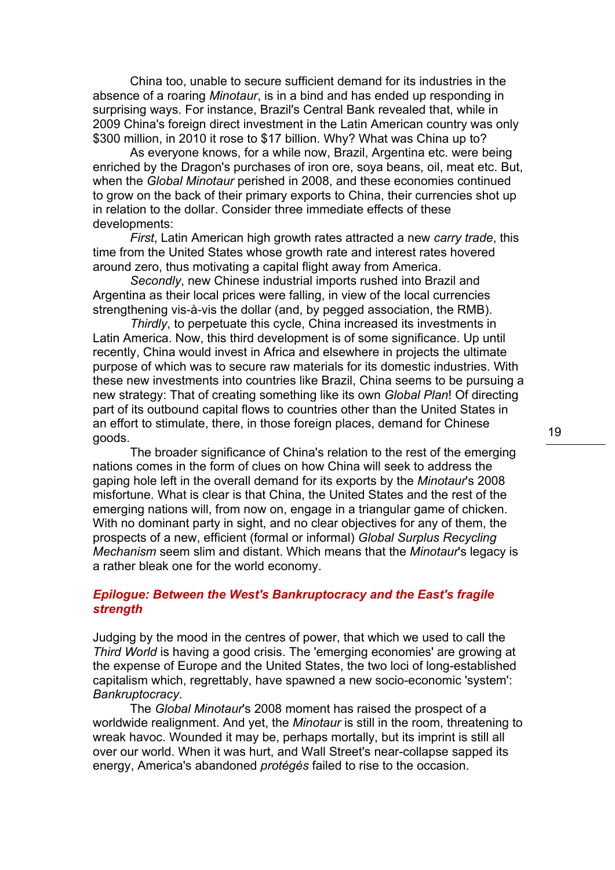China too, unable to secure sufficient demand for its industries in the absence of a roaring *Minotaur*, is in a bind and has ended up responding in surprising ways. For instance, Brazil's Central Bank revealed that, while in 2009 China's foreign direct investment in the Latin American country was only \$300 million, in 2010 it rose to \$17 billion. Why? What was China up to?

As everyone knows, for a while now, Brazil, Argentina etc. were being enriched by the Dragon's purchases of iron ore, soya beans, oil, meat etc. But, when the *Global Minotaur* perished in 2008, and these economies continued to grow on the back of their primary exports to China, their currencies shot up in relation to the dollar. Consider three immediate effects of these developments:

*First*, Latin American high growth rates attracted a new *carry trade*, this time from the United States whose growth rate and interest rates hovered around zero, thus motivating a capital flight away from America.

*Secondly*, new Chinese industrial imports rushed into Brazil and Argentina as their local prices were falling, in view of the local currencies strengthening vis-à-vis the dollar (and, by pegged association, the RMB).

*Thirdly*, to perpetuate this cycle, China increased its investments in Latin America. Now, this third development is of some significance. Up until recently, China would invest in Africa and elsewhere in projects the ultimate purpose of which was to secure raw materials for its domestic industries. With these new investments into countries like Brazil, China seems to be pursuing a new strategy: That of creating something like its own *Global Plan*! Of directing part of its outbound capital flows to countries other than the United States in an effort to stimulate, there, in those foreign places, demand for Chinese goods.

The broader significance of China's relation to the rest of the emerging nations comes in the form of clues on how China will seek to address the gaping hole left in the overall demand for its exports by the *Minotaur*'s 2008 misfortune. What is clear is that China, the United States and the rest of the emerging nations will, from now on, engage in a triangular game of chicken. With no dominant party in sight, and no clear objectives for any of them, the prospects of a new, efficient (formal or informal) *Global Surplus Recycling Mechanism* seem slim and distant. Which means that the *Minotaur*'s legacy is a rather bleak one for the world economy.

## *Epilogue: Between the West's Bankruptocracy and the East's fragile strength*

Judging by the mood in the centres of power, that which we used to call the *Third World* is having a good crisis. The 'emerging economies' are growing at the expense of Europe and the United States, the two loci of long-established capitalism which, regrettably, have spawned a new socio-economic 'system': *Bankruptocracy*.

The *Global Minotaur*'s 2008 moment has raised the prospect of a worldwide realignment. And yet, the *Minotaur* is still in the room, threatening to wreak havoc. Wounded it may be, perhaps mortally, but its imprint is still all over our world. When it was hurt, and Wall Street's near-collapse sapped its energy, America's abandoned *protégés* failed to rise to the occasion.